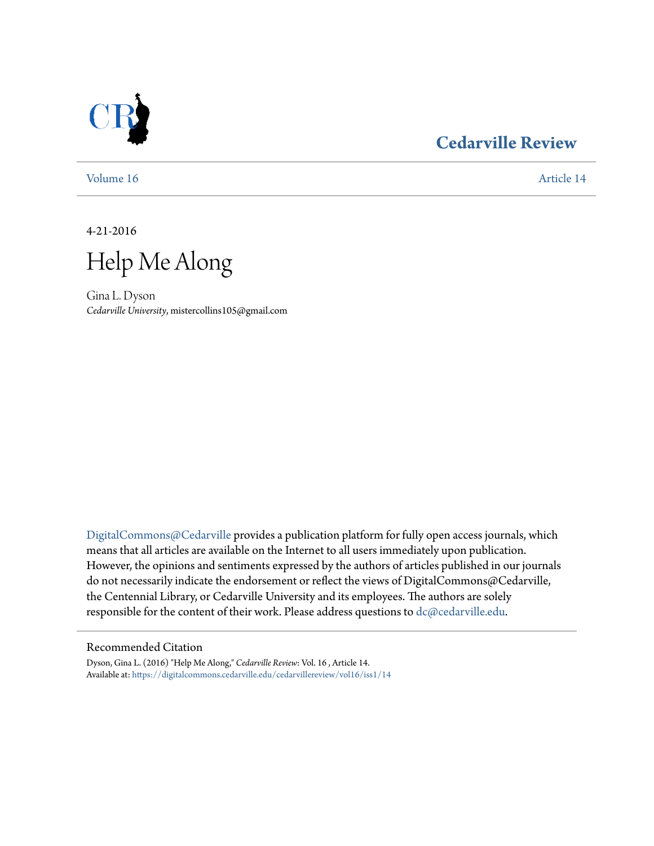

## **[Cedarville Review](https://digitalcommons.cedarville.edu/cedarvillereview?utm_source=digitalcommons.cedarville.edu%2Fcedarvillereview%2Fvol16%2Fiss1%2F14&utm_medium=PDF&utm_campaign=PDFCoverPages)**

[Volume 16](https://digitalcommons.cedarville.edu/cedarvillereview/vol16?utm_source=digitalcommons.cedarville.edu%2Fcedarvillereview%2Fvol16%2Fiss1%2F14&utm_medium=PDF&utm_campaign=PDFCoverPages) [Article 14](https://digitalcommons.cedarville.edu/cedarvillereview/vol16/iss1/14?utm_source=digitalcommons.cedarville.edu%2Fcedarvillereview%2Fvol16%2Fiss1%2F14&utm_medium=PDF&utm_campaign=PDFCoverPages)

4-21-2016

Help Me Along

Gina L. Dyson *Cedarville University*, mistercollins105@gmail.com

[DigitalCommons@Cedarville](http://digitalcommons.cedarville.edu) provides a publication platform for fully open access journals, which means that all articles are available on the Internet to all users immediately upon publication. However, the opinions and sentiments expressed by the authors of articles published in our journals do not necessarily indicate the endorsement or reflect the views of DigitalCommons@Cedarville, the Centennial Library, or Cedarville University and its employees. The authors are solely responsible for the content of their work. Please address questions to [dc@cedarville.edu](mailto:dc@cedarville.edu).

#### Recommended Citation

Dyson, Gina L. (2016) "Help Me Along," *Cedarville Review*: Vol. 16 , Article 14. Available at: [https://digitalcommons.cedarville.edu/cedarvillereview/vol16/iss1/14](https://digitalcommons.cedarville.edu/cedarvillereview/vol16/iss1/14?utm_source=digitalcommons.cedarville.edu%2Fcedarvillereview%2Fvol16%2Fiss1%2F14&utm_medium=PDF&utm_campaign=PDFCoverPages)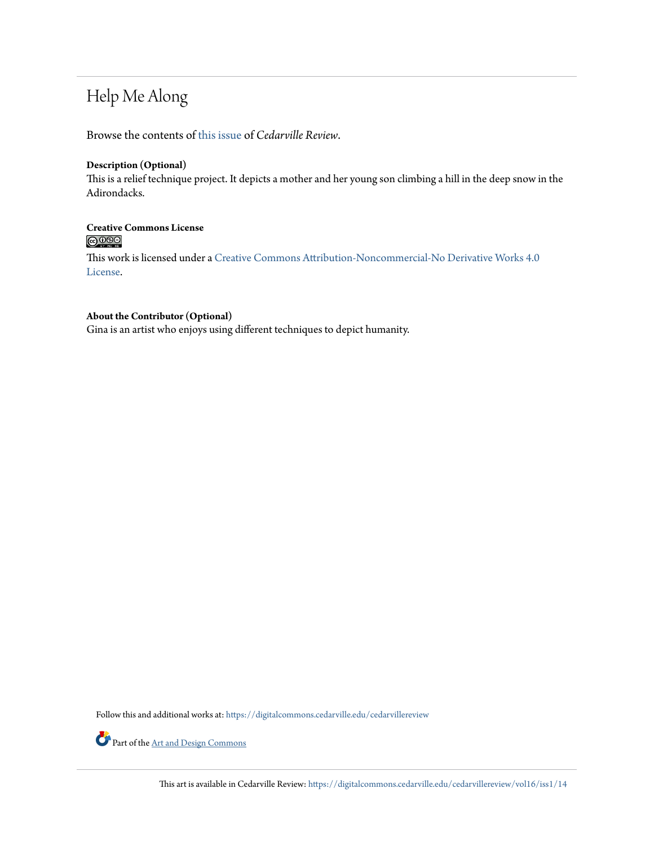## Help Me Along

Browse the contents of [this issue](https://digitalcommons.cedarville.edu/cedarvillereview/vol16/iss1) of *Cedarville Review*.

#### **Description (Optional)**

This is a relief technique project. It depicts a mother and her young son climbing a hill in the deep snow in the Adirondacks.

# **Creative Commons License**

This work is licensed under a [Creative Commons Attribution-Noncommercial-No Derivative Works 4.0](http://creativecommons.org/licenses/by-nc-nd/4.0/) [License.](http://creativecommons.org/licenses/by-nc-nd/4.0/)

#### **About the Contributor (Optional)**

Gina is an artist who enjoys using different techniques to depict humanity.

Follow this and additional works at: [https://digitalcommons.cedarville.edu/cedarvillereview](https://digitalcommons.cedarville.edu/cedarvillereview?utm_source=digitalcommons.cedarville.edu%2Fcedarvillereview%2Fvol16%2Fiss1%2F14&utm_medium=PDF&utm_campaign=PDFCoverPages)



Part of the <u>[Art and Design Commons](http://network.bepress.com/hgg/discipline/1049?utm_source=digitalcommons.cedarville.edu%2Fcedarvillereview%2Fvol16%2Fiss1%2F14&utm_medium=PDF&utm_campaign=PDFCoverPages)</u>